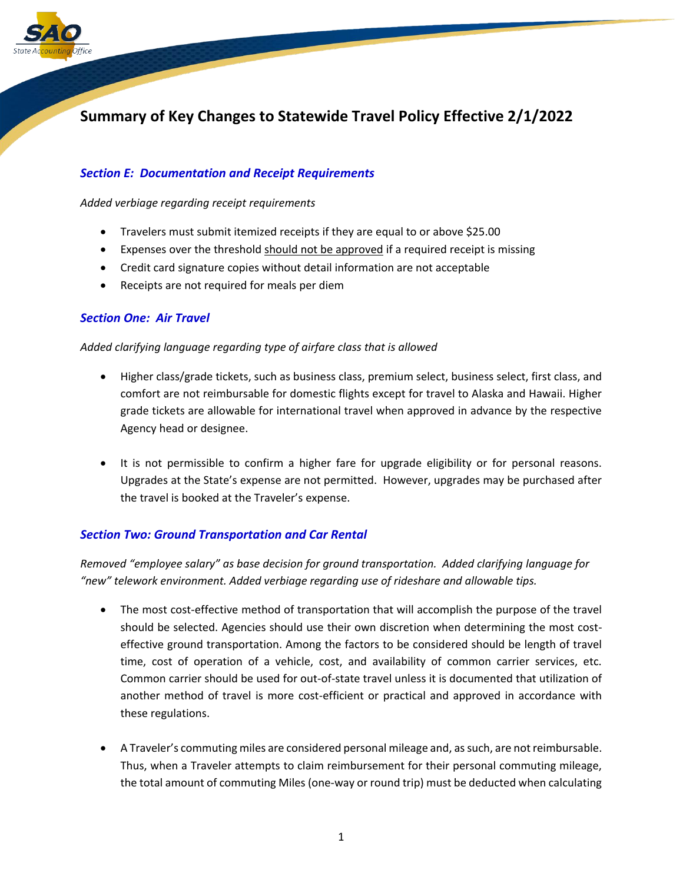

# **Summary of Key Changes to Statewide Travel Policy Effective 2/1/2022**

# *Section E: Documentation and Receipt Requirements*

*Added verbiage regarding receipt requirements*

- Travelers must submit itemized receipts if they are equal to or above \$25.00
- Expenses over the threshold should not be approved if a required receipt is missing
- Credit card signature copies without detail information are not acceptable
- Receipts are not required for meals per diem

## *Section One: Air Travel*

#### *Added clarifying language regarding type of airfare class that is allowed*

- Higher class/grade tickets, such as business class, premium select, business select, first class, and comfort are not reimbursable for domestic flights except for travel to Alaska and Hawaii. Higher grade tickets are allowable for international travel when approved in advance by the respective Agency head or designee.
- It is not permissible to confirm a higher fare for upgrade eligibility or for personal reasons. Upgrades at the State's expense are not permitted. However, upgrades may be purchased after the travel is booked at the Traveler's expense.

## *Section Two: Ground Transportation and Car Rental*

*Removed "employee salary" as base decision for ground transportation. Added clarifying language for "new" telework environment. Added verbiage regarding use of rideshare and allowable tips.*

- The most cost-effective method of transportation that will accomplish the purpose of the travel should be selected. Agencies should use their own discretion when determining the most costeffective ground transportation. Among the factors to be considered should be length of travel time, cost of operation of a vehicle, cost, and availability of common carrier services, etc. Common carrier should be used for out-of-state travel unless it is documented that utilization of another method of travel is more cost-efficient or practical and approved in accordance with these regulations.
- A Traveler's commuting miles are considered personal mileage and, as such, are not reimbursable. Thus, when a Traveler attempts to claim reimbursement for their personal commuting mileage, the total amount of commuting Miles (one-way or round trip) must be deducted when calculating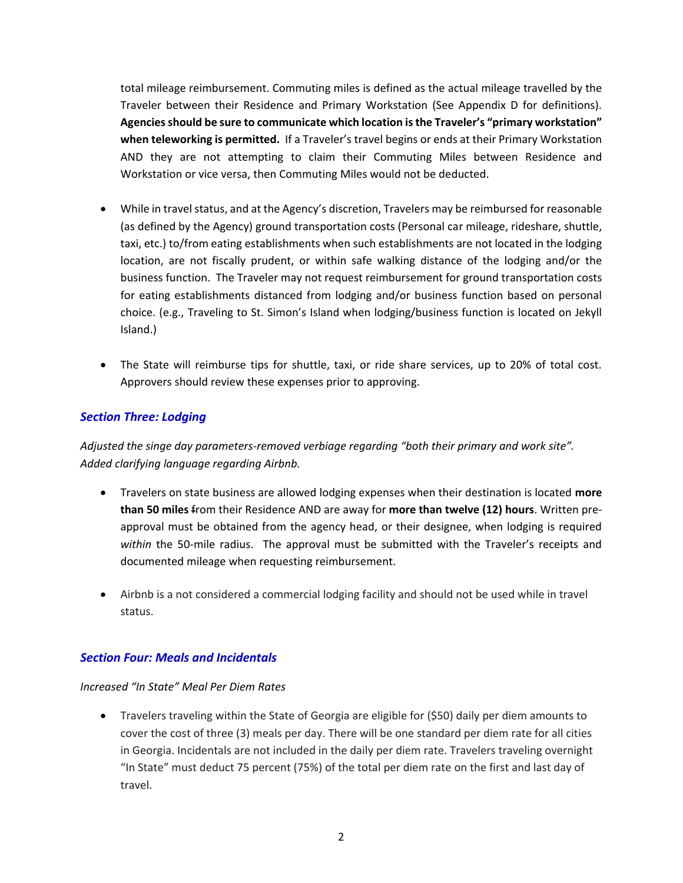total mileage reimbursement. Commuting miles is defined as the actual mileage travelled by the Traveler between their Residence and Primary Workstation (See Appendix D for definitions). **Agencies should be sure to communicate which location is the Traveler's "primary workstation" when teleworking is permitted.** If a Traveler's travel begins or ends at their Primary Workstation AND they are not attempting to claim their Commuting Miles between Residence and Workstation or vice versa, then Commuting Miles would not be deducted.

- While in travel status, and at the Agency's discretion, Travelers may be reimbursed for reasonable (as defined by the Agency) ground transportation costs (Personal car mileage, rideshare, shuttle, taxi, etc.) to/from eating establishments when such establishments are not located in the lodging location, are not fiscally prudent, or within safe walking distance of the lodging and/or the business function. The Traveler may not request reimbursement for ground transportation costs for eating establishments distanced from lodging and/or business function based on personal choice. (e.g., Traveling to St. Simon's Island when lodging/business function is located on Jekyll Island.)
- The State will reimburse tips for shuttle, taxi, or ride share services, up to 20% of total cost. Approvers should review these expenses prior to approving.

# *Section Three: Lodging*

*Adjusted the singe day parameters-removed verbiage regarding "both their primary and work site". Added clarifying language regarding Airbnb.*

- Travelers on state business are allowed lodging expenses when their destination is located **more than 50 miles** from their Residence AND are away for **more than twelve (12) hours**. Written preapproval must be obtained from the agency head, or their designee, when lodging is required *within* the 50-mile radius. The approval must be submitted with the Traveler's receipts and documented mileage when requesting reimbursement.
- Airbnb is a not considered a commercial lodging facility and should not be used while in travel status.

## *Section Four: Meals and Incidentals*

#### *Increased "In State" Meal Per Diem Rates*

• Travelers traveling within the State of Georgia are eligible for (\$50) daily per diem amounts to cover the cost of three (3) meals per day. There will be one standard per diem rate for all cities in Georgia. Incidentals are not included in the daily per diem rate. Travelers traveling overnight "In State" must deduct 75 percent (75%) of the total per diem rate on the first and last day of travel.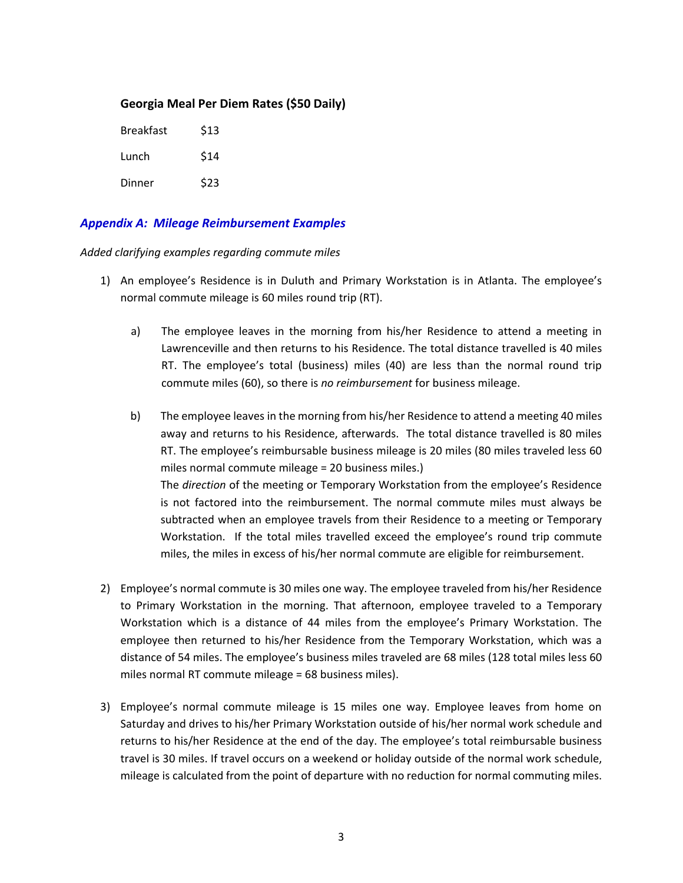## **Georgia Meal Per Diem Rates (\$50 Daily)**

| <b>Breakfast</b> | \$13 |
|------------------|------|
| Lunch            | \$14 |
| Dinner           | \$23 |

## *Appendix A: Mileage Reimbursement Examples*

*Added clarifying examples regarding commute miles*

- 1) An employee's Residence is in Duluth and Primary Workstation is in Atlanta. The employee's normal commute mileage is 60 miles round trip (RT).
	- a) The employee leaves in the morning from his/her Residence to attend a meeting in Lawrenceville and then returns to his Residence. The total distance travelled is 40 miles RT. The employee's total (business) miles (40) are less than the normal round trip commute miles (60), so there is *no reimbursement* for business mileage.
	- b) The employee leaves in the morning from his/her Residence to attend a meeting 40 miles away and returns to his Residence, afterwards. The total distance travelled is 80 miles RT. The employee's reimbursable business mileage is 20 miles (80 miles traveled less 60 miles normal commute mileage = 20 business miles.) The *direction* of the meeting or Temporary Workstation from the employee's Residence is not factored into the reimbursement. The normal commute miles must always be subtracted when an employee travels from their Residence to a meeting or Temporary Workstation. If the total miles travelled exceed the employee's round trip commute miles, the miles in excess of his/her normal commute are eligible for reimbursement.
- 2) Employee's normal commute is 30 miles one way. The employee traveled from his/her Residence to Primary Workstation in the morning. That afternoon, employee traveled to a Temporary Workstation which is a distance of 44 miles from the employee's Primary Workstation. The employee then returned to his/her Residence from the Temporary Workstation, which was a distance of 54 miles. The employee's business miles traveled are 68 miles (128 total miles less 60 miles normal RT commute mileage = 68 business miles).
- 3) Employee's normal commute mileage is 15 miles one way. Employee leaves from home on Saturday and drives to his/her Primary Workstation outside of his/her normal work schedule and returns to his/her Residence at the end of the day. The employee's total reimbursable business travel is 30 miles. If travel occurs on a weekend or holiday outside of the normal work schedule, mileage is calculated from the point of departure with no reduction for normal commuting miles.